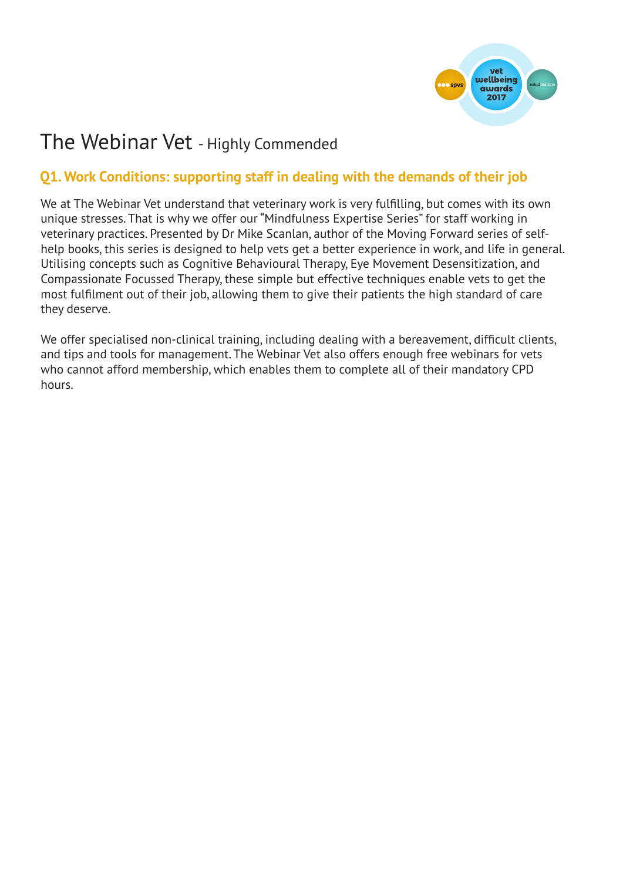

# The Webinar Vet - Highly Commended

# **Q1. Work Conditions: supporting staff in dealing with the demands of their job**

We at The Webinar Vet understand that veterinary work is very fulfilling, but comes with its own unique stresses. That is why we offer our "Mindfulness Expertise Series" for staff working in veterinary practices. Presented by Dr Mike Scanlan, author of the Moving Forward series of selfhelp books, this series is designed to help vets get a better experience in work, and life in general. Utilising concepts such as Cognitive Behavioural Therapy, Eye Movement Desensitization, and Compassionate Focussed Therapy, these simple but effective techniques enable vets to get the most fulfilment out of their job, allowing them to give their patients the high standard of care they deserve.

We offer specialised non-clinical training, including dealing with a bereavement, difficult clients, and tips and tools for management. The Webinar Vet also offers enough free webinars for vets who cannot afford membership, which enables them to complete all of their mandatory CPD hours.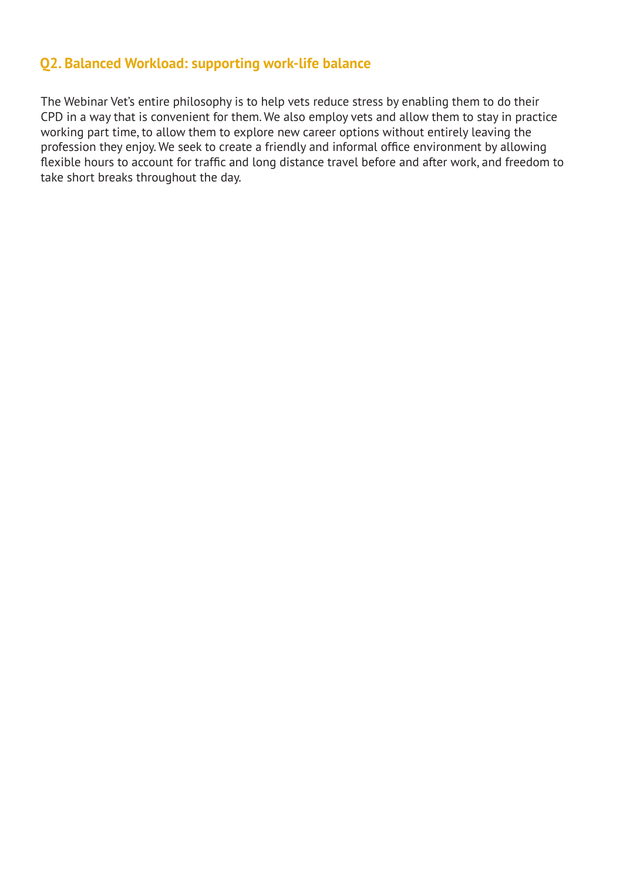#### **Q2. Balanced Workload: supporting work-life balance**

The Webinar Vet's entire philosophy is to help vets reduce stress by enabling them to do their CPD in a way that is convenient for them. We also employ vets and allow them to stay in practice working part time, to allow them to explore new career options without entirely leaving the profession they enjoy. We seek to create a friendly and informal office environment by allowing flexible hours to account for traffic and long distance travel before and after work, and freedom to take short breaks throughout the day.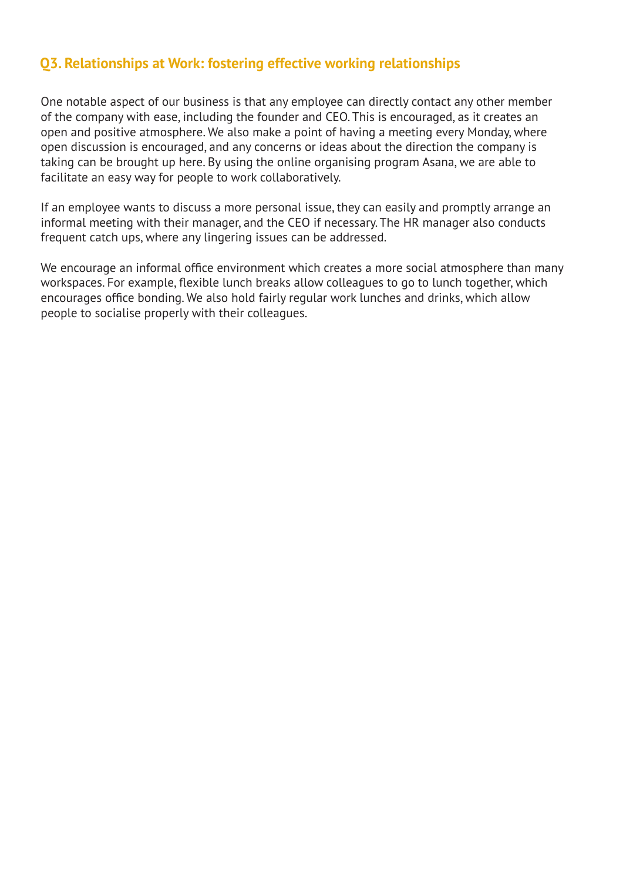#### **Q3. Relationships at Work: fostering effective working relationships**

One notable aspect of our business is that any employee can directly contact any other member of the company with ease, including the founder and CEO. This is encouraged, as it creates an open and positive atmosphere. We also make a point of having a meeting every Monday, where open discussion is encouraged, and any concerns or ideas about the direction the company is taking can be brought up here. By using the online organising program Asana, we are able to facilitate an easy way for people to work collaboratively.

If an employee wants to discuss a more personal issue, they can easily and promptly arrange an informal meeting with their manager, and the CEO if necessary. The HR manager also conducts frequent catch ups, where any lingering issues can be addressed.

We encourage an informal office environment which creates a more social atmosphere than many workspaces. For example, flexible lunch breaks allow colleagues to go to lunch together, which encourages office bonding. We also hold fairly regular work lunches and drinks, which allow people to socialise properly with their colleagues.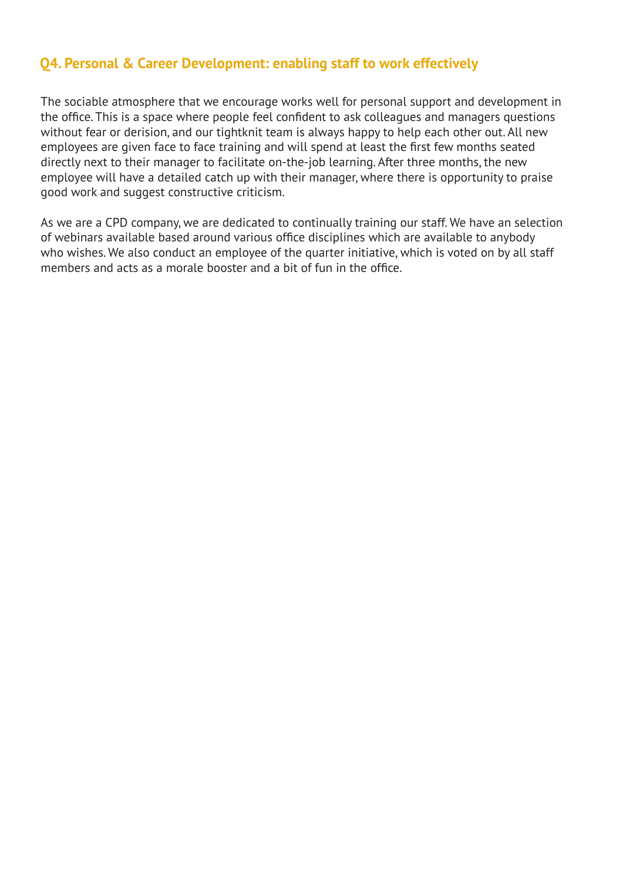# **Q4. Personal & Career Development: enabling staff to work effectively**

The sociable atmosphere that we encourage works well for personal support and development in the office. This is a space where people feel confident to ask colleagues and managers questions without fear or derision, and our tightknit team is always happy to help each other out. All new employees are given face to face training and will spend at least the first few months seated directly next to their manager to facilitate on-the-job learning. After three months, the new employee will have a detailed catch up with their manager, where there is opportunity to praise good work and suggest constructive criticism.

As we are a CPD company, we are dedicated to continually training our staff. We have an selection of webinars available based around various office disciplines which are available to anybody who wishes. We also conduct an employee of the quarter initiative, which is voted on by all staff members and acts as a morale booster and a bit of fun in the office.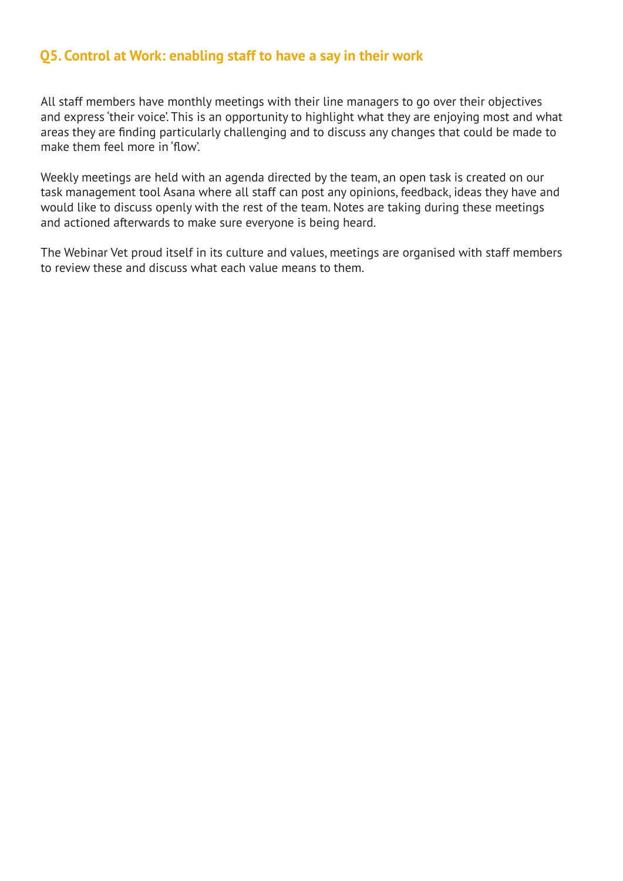#### **Q5. Control at Work: enabling staff to have a say in their work**

All staff members have monthly meetings with their line managers to go over their objectives and express 'their voice'. This is an opportunity to highlight what they are enjoying most and what areas they are finding particularly challenging and to discuss any changes that could be made to make them feel more in 'flow'.

Weekly meetings are held with an agenda directed by the team, an open task is created on our task management tool Asana where all staff can post any opinions, feedback, ideas they have and would like to discuss openly with the rest of the team. Notes are taking during these meetings and actioned afterwards to make sure everyone is being heard.

The Webinar Vet proud itself in its culture and values, meetings are organised with staff members to review these and discuss what each value means to them.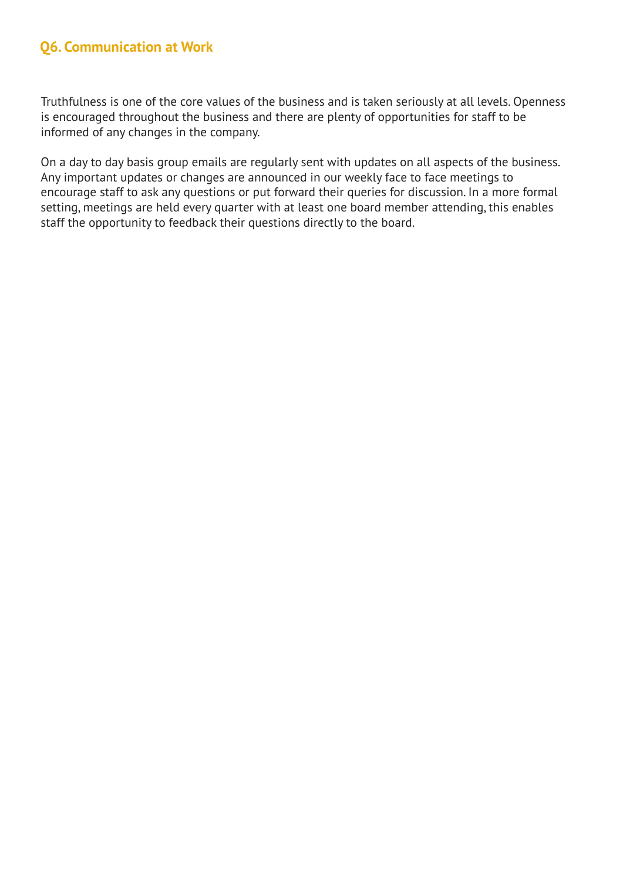# **Q6. Communication at Work**

Truthfulness is one of the core values of the business and is taken seriously at all levels. Openness is encouraged throughout the business and there are plenty of opportunities for staff to be informed of any changes in the company.

On a day to day basis group emails are regularly sent with updates on all aspects of the business. Any important updates or changes are announced in our weekly face to face meetings to encourage staff to ask any questions or put forward their queries for discussion. In a more formal setting, meetings are held every quarter with at least one board member attending, this enables staff the opportunity to feedback their questions directly to the board.